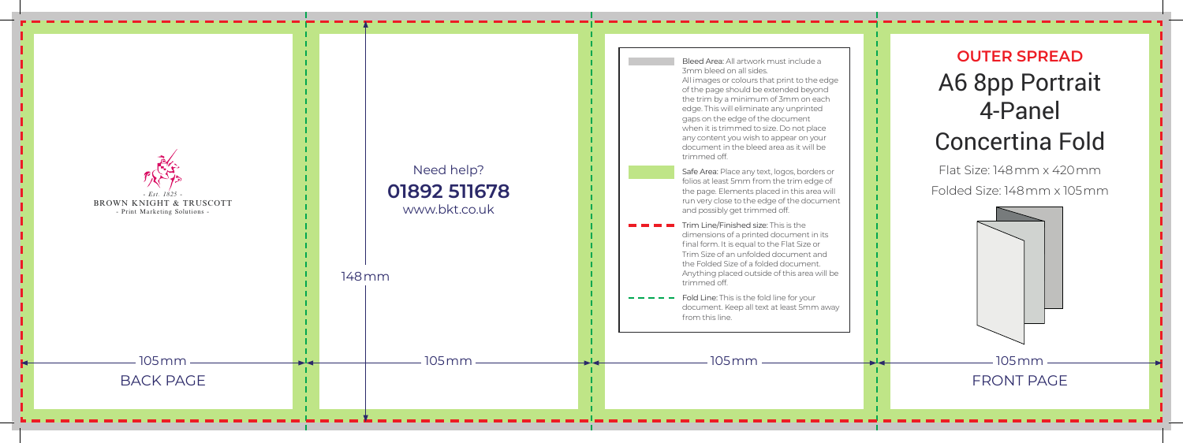

## **OUTER SPREAD** A6 8pp Portrait 4-Panel Concertina Fold

Flat Size: 148mm x 420mm *-* Folded Size: 148mm x 105mm